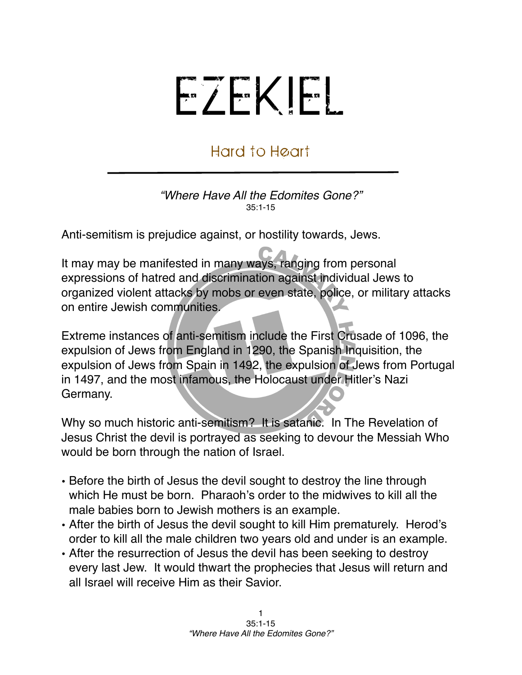## EZEKIEL

## Hard to Heart

*"Where Have All the Edomites Gone?"* 35:1-15

Anti-semitism is prejudice against, or hostility towards, Jews.

It may may be manifested in many ways, ranging from personal expressions of hatred and discrimination against individual Jews to organized violent attacks by mobs or even state, police, or military attacks on entire Jewish communities.

Extreme instances of anti-semitism include the First Crusade of 1096, the expulsion of Jews from England in 1290, the Spanish Inquisition, the expulsion of Jews from Spain in 1492, the expulsion of Jews from Portugal in 1497, and the most infamous, the Holocaust under Hitler's Nazi Germany.

Why so much historic anti-semitism? It is satanic. In The Revelation of Jesus Christ the devil is portrayed as seeking to devour the Messiah Who would be born through the nation of Israel.

- Before the birth of Jesus the devil sought to destroy the line through which He must be born. Pharaoh's order to the midwives to kill all the male babies born to Jewish mothers is an example.
- After the birth of Jesus the devil sought to kill Him prematurely. Herod's order to kill all the male children two years old and under is an example.
- After the resurrection of Jesus the devil has been seeking to destroy every last Jew. It would thwart the prophecies that Jesus will return and all Israel will receive Him as their Savior.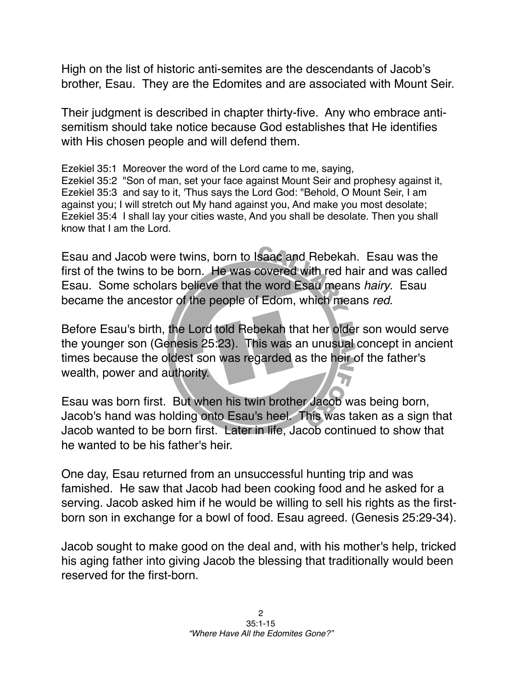High on the list of historic anti-semites are the descendants of Jacob's brother, Esau. They are the Edomites and are associated with Mount Seir.

Their judgment is described in chapter thirty-five. Any who embrace antisemitism should take notice because God establishes that He identifies with His chosen people and will defend them.

Ezekiel 35:1 Moreover the word of the Lord came to me, saying, Ezekiel 35:2 "Son of man, set your face against Mount Seir and prophesy against it, Ezekiel 35:3 and say to it, 'Thus says the Lord God: "Behold, O Mount Seir, I am against you; I will stretch out My hand against you, And make you most desolate; Ezekiel 35:4 I shall lay your cities waste, And you shall be desolate. Then you shall know that I am the Lord.

Esau and Jacob were twins, born to Isaac and Rebekah. Esau was the first of the twins to be born. He was covered with red hair and was called Esau. Some scholars believe that the word Esau means *hairy*. Esau became the ancestor of the people of Edom, which means *red*.

Before Esau's birth, the Lord told Rebekah that her older son would serve the younger son (Genesis 25:23). This was an unusual concept in ancient times because the oldest son was regarded as the heir of the father's wealth, power and authority.

Esau was born first. But when his twin brother Jacob was being born, Jacob's hand was holding onto Esau's heel. This was taken as a sign that Jacob wanted to be born first. Later in life, Jacob continued to show that he wanted to be his father's heir.

One day, Esau returned from an unsuccessful hunting trip and was famished. He saw that Jacob had been cooking food and he asked for a serving. Jacob asked him if he would be willing to sell his rights as the firstborn son in exchange for a bowl of food. Esau agreed. (Genesis 25:29-34).

Jacob sought to make good on the deal and, with his mother's help, tricked his aging father into giving Jacob the blessing that traditionally would been reserved for the first-born.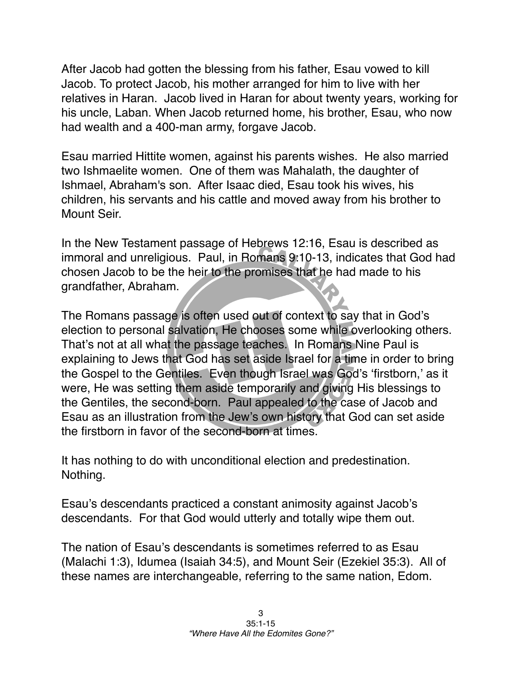After Jacob had gotten the blessing from his father, Esau vowed to kill Jacob. To protect Jacob, his mother arranged for him to live with her relatives in Haran. Jacob lived in Haran for about twenty years, working for his uncle, Laban. When Jacob returned home, his brother, Esau, who now had wealth and a 400-man army, forgave Jacob.

Esau married Hittite women, against his parents wishes. He also married two Ishmaelite women. One of them was Mahalath, the daughter of Ishmael, Abraham's son. After Isaac died, Esau took his wives, his children, his servants and his cattle and moved away from his brother to Mount Seir.

In the New Testament passage of Hebrews 12:16, Esau is described as immoral and unreligious. Paul, in Romans 9:10-13, indicates that God had chosen Jacob to be the heir to the promises that he had made to his grandfather, Abraham.

The Romans passage is often used out of context to say that in God's election to personal salvation, He chooses some while overlooking others. That's not at all what the passage teaches. In Romans Nine Paul is explaining to Jews that God has set aside Israel for a time in order to bring the Gospel to the Gentiles. Even though Israel was God's ʻfirstborn,' as it were, He was setting them aside temporarily and giving His blessings to the Gentiles, the second-born. Paul appealed to the case of Jacob and Esau as an illustration from the Jew's own history that God can set aside the firstborn in favor of the second-born at times.

It has nothing to do with unconditional election and predestination. Nothing.

Esau's descendants practiced a constant animosity against Jacob's descendants. For that God would utterly and totally wipe them out.

The nation of Esau's descendants is sometimes referred to as Esau (Malachi 1:3), Idumea (Isaiah 34:5), and Mount Seir (Ezekiel 35:3). All of these names are interchangeable, referring to the same nation, Edom.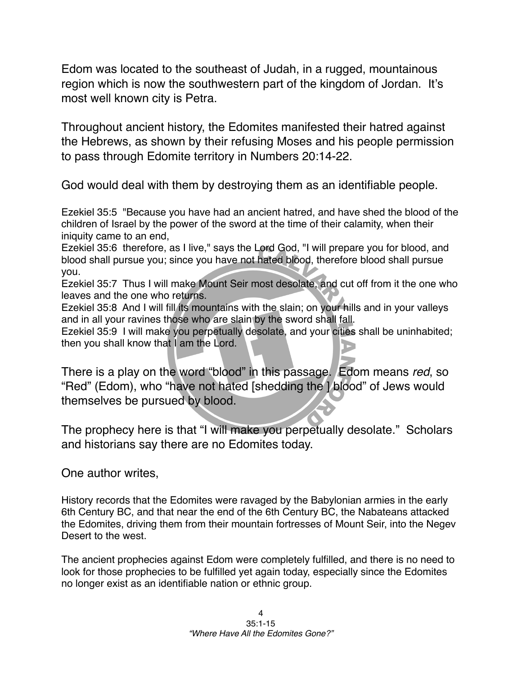Edom was located to the southeast of Judah, in a rugged, mountainous region which is now the southwestern part of the kingdom of Jordan. It's most well known city is Petra.

Throughout ancient history, the Edomites manifested their hatred against the Hebrews, as shown by their refusing Moses and his people permission to pass through Edomite territory in Numbers 20:14-22.

God would deal with them by destroying them as an identifiable people.

Ezekiel 35:5 "Because you have had an ancient hatred, and have shed the blood of the children of Israel by the power of the sword at the time of their calamity, when their iniquity came to an end,

Ezekiel 35:6 therefore, as I live," says the Lord God, "I will prepare you for blood, and blood shall pursue you; since you have not hated blood, therefore blood shall pursue you.

Ezekiel 35:7 Thus I will make Mount Seir most desolate, and cut off from it the one who leaves and the one who returns.

Ezekiel 35:8 And I will fill its mountains with the slain; on your hills and in your valleys and in all your ravines those who are slain by the sword shall fall.

Ezekiel 35:9 I will make you perpetually desolate, and your cities shall be uninhabited; then you shall know that I am the Lord.

There is a play on the word "blood" in this passage. Edom means *red*, so "Red" (Edom), who "have not hated [shedding the ] blood" of Jews would themselves be pursued by blood.

The prophecy here is that "I will make you perpetually desolate." Scholars and historians say there are no Edomites today.

One author writes,

History records that the Edomites were ravaged by the Babylonian armies in the early 6th Century BC, and that near the end of the 6th Century BC, the Nabateans attacked the Edomites, driving them from their mountain fortresses of Mount Seir, into the Negev Desert to the west.

The ancient prophecies against Edom were completely fulfilled, and there is no need to look for those prophecies to be fulfilled yet again today, especially since the Edomites no longer exist as an identifiable nation or ethnic group.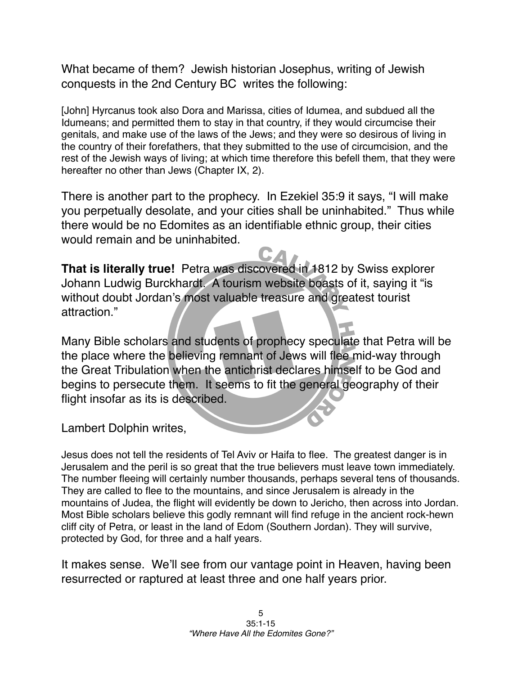What became of them? Jewish historian Josephus, writing of Jewish conquests in the 2nd Century BC writes the following:

[John] Hyrcanus took also Dora and Marissa, cities of Idumea, and subdued all the Idumeans; and permitted them to stay in that country, if they would circumcise their genitals, and make use of the laws of the Jews; and they were so desirous of living in the country of their forefathers, that they submitted to the use of circumcision, and the rest of the Jewish ways of living; at which time therefore this befell them, that they were hereafter no other than Jews (Chapter IX, 2).

There is another part to the prophecy. In Ezekiel 35:9 it says, "I will make you perpetually desolate, and your cities shall be uninhabited." Thus while there would be no Edomites as an identifiable ethnic group, their cities would remain and be uninhabited.

**That is literally true!** Petra was discovered in 1812 by Swiss explorer Johann Ludwig Burckhardt. A tourism website boasts of it, saying it "is without doubt Jordan's most valuable treasure and greatest tourist attraction."

Many Bible scholars and students of prophecy speculate that Petra will be the place where the believing remnant of Jews will flee mid-way through the Great Tribulation when the antichrist declares himself to be God and begins to persecute them. It seems to fit the general geography of their flight insofar as its is described.

Lambert Dolphin writes,

Jesus does not tell the residents of Tel Aviv or Haifa to flee. The greatest danger is in Jerusalem and the peril is so great that the true believers must leave town immediately. The number fleeing will certainly number thousands, perhaps several tens of thousands. They are called to flee to the mountains, and since Jerusalem is already in the mountains of Judea, the flight will evidently be down to Jericho, then across into Jordan. Most Bible scholars believe this godly remnant will find refuge in the ancient rock-hewn cliff city of Petra, or least in the land of Edom (Southern Jordan). They will survive, protected by God, for three and a half years.

It makes sense. We'll see from our vantage point in Heaven, having been resurrected or raptured at least three and one half years prior.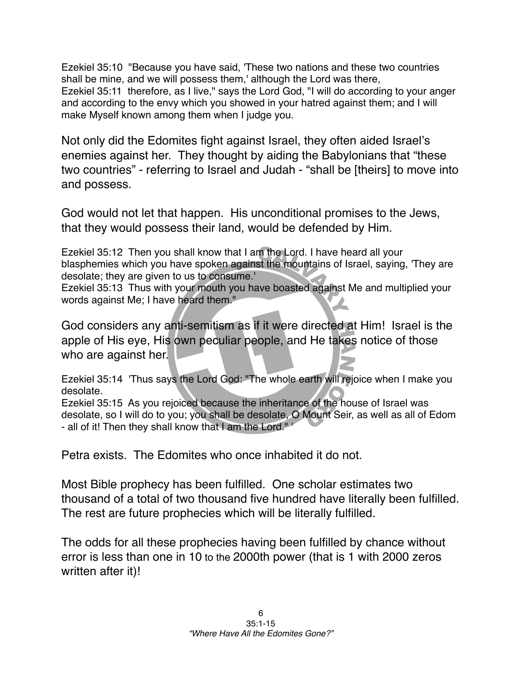Ezekiel 35:10 "Because you have said, 'These two nations and these two countries shall be mine, and we will possess them,' although the Lord was there, Ezekiel 35:11 therefore, as I live," says the Lord God, "I will do according to your anger and according to the envy which you showed in your hatred against them; and I will make Myself known among them when I judge you.

Not only did the Edomites fight against Israel, they often aided Israel's enemies against her. They thought by aiding the Babylonians that "these two countries" - referring to Israel and Judah - "shall be [theirs] to move into and possess.

God would not let that happen. His unconditional promises to the Jews, that they would possess their land, would be defended by Him.

Ezekiel 35:12 Then you shall know that I am the Lord. I have heard all your blasphemies which you have spoken against the mountains of Israel, saying, 'They are desolate; they are given to us to consume.'

Ezekiel 35:13 Thus with your mouth you have boasted against Me and multiplied your words against Me; I have heard them."

God considers any anti-semitism as if it were directed at Him! Israel is the apple of His eye, His own peculiar people, and He takes notice of those who are against her.

Ezekiel 35:14 'Thus says the Lord God: "The whole earth will rejoice when I make you desolate.

Ezekiel 35:15 As you rejoiced because the inheritance of the house of Israel was desolate, so I will do to you; you shall be desolate, O Mount Seir, as well as all of Edom - all of it! Then they shall know that I am the Lord." '

Petra exists. The Edomites who once inhabited it do not.

Most Bible prophecy has been fulfilled. One scholar estimates two thousand of a total of two thousand five hundred have literally been fulfilled. The rest are future prophecies which will be literally fulfilled.

The odds for all these prophecies having been fulfilled by chance without error is less than one in 10 to the 2000th power (that is 1 with 2000 zeros written after it)!